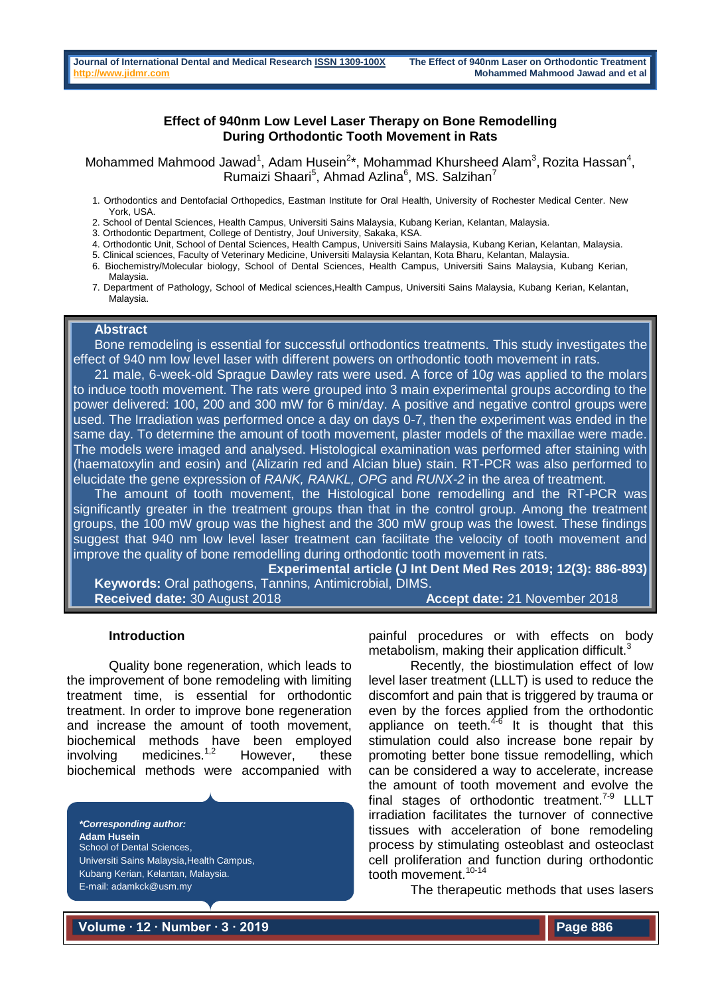### **Effect of 940nm Low Level Laser Therapy on Bone Remodelling During Orthodontic Tooth Movement in Rats**

Mohammed Mahmood Jawad<sup>1</sup>, Adam Husein<sup>2\*</sup>, Mohammad Khursheed Alam<sup>3</sup>, Rozita Hassan<sup>4</sup>, Rumaizi Shaari<sup>5</sup>, Ahmad Azlina<sup>6</sup>, MS. Salzihan<sup>7</sup>

1. Orthodontics and Dentofacial Orthopedics, Eastman Institute for Oral Health, University of Rochester Medical Center. New York, USA.

2. School of Dental Sciences, Health Campus, Universiti Sains Malaysia, Kubang Kerian, Kelantan, Malaysia.

3. Orthodontic Department, College of Dentistry, Jouf University, Sakaka, KSA.

- 4. Orthodontic Unit, School of Dental Sciences, Health Campus, Universiti Sains Malaysia, Kubang Kerian, Kelantan, Malaysia.
- 5. Clinical sciences, Faculty of Veterinary Medicine, Universiti Malaysia Kelantan, Kota Bharu, Kelantan, Malaysia.
- 6. Biochemistry/Molecular biology, School of Dental Sciences, Health Campus, Universiti Sains Malaysia, Kubang Kerian, Malaysia.
- 7. Department of Pathology, School of Medical sciences,Health Campus, Universiti Sains Malaysia, Kubang Kerian, Kelantan, Malaysia.

## **Abstract**

Bone remodeling is essential for successful orthodontics treatments. This study investigates the effect of 940 nm low level laser with different powers on orthodontic tooth movement in rats.

21 male, 6-week-old Sprague Dawley rats were used. A force of 10*g* was applied to the molars to induce tooth movement. The rats were grouped into 3 main experimental groups according to the power delivered: 100, 200 and 300 mW for 6 min/day. A positive and negative control groups were used. The Irradiation was performed once a day on days 0-7, then the experiment was ended in the same day. To determine the amount of tooth movement, plaster models of the maxillae were made. The models were imaged and analysed. Histological examination was performed after staining with (haematoxylin and eosin) and (Alizarin red and Alcian blue) stain. RT-PCR was also performed to elucidate the gene expression of *RANK, RANKL, OPG* and *RUNX-2* in the area of treatment.

The amount of tooth movement, the Histological bone remodelling and the RT-PCR was significantly greater in the treatment groups than that in the control group. Among the treatment groups, the 100 mW group was the highest and the 300 mW group was the lowest. These findings suggest that 940 nm low level laser treatment can facilitate the velocity of tooth movement and improve the quality of bone remodelling during orthodontic tooth movement in rats.

**Experimental article (J Int Dent Med Res 2019; 12(3): 886-893) Keywords:** Oral pathogens, Tannins, Antimicrobial, DIMS. **Received date:** 30 August 2018 **Accept date:** 21 November 2018

#### **Introduction**

Quality bone regeneration, which leads to the improvement of bone remodeling with limiting treatment time, is essential for orthodontic treatment. In order to improve bone regeneration and increase the amount of tooth movement, biochemical methods have been employed involving medicines.<sup>1,2</sup> However, these biochemical methods were accompanied with

*\*Corresponding author:* **Adam Husein** School of Dental Sciences, Universiti Sains Malaysia,Health Campus, Kubang Kerian, Kelantan, Malaysia. E-mail: adamkck@usm.my

painful procedures or with effects on body metabolism, making their application difficult.<sup>3</sup>

Recently, the biostimulation effect of low level laser treatment (LLLT) is used to reduce the discomfort and pain that is triggered by trauma or even by the forces applied from the orthodontic appliance on teeth. $4-6$  It is thought that this stimulation could also increase bone repair by promoting better bone tissue remodelling, which can be considered a way to accelerate, increase the amount of tooth movement and evolve the final stages of orthodontic treatment.<sup>7-9</sup> LLLT irradiation facilitates the turnover of connective tissues with acceleration of bone remodeling process by stimulating osteoblast and osteoclast cell proliferation and function during orthodontic tooth movement.<sup>10-14</sup>

The therapeutic methods that uses lasers

**Volume ∙ 12 ∙ Number ∙ 3 ∙ 2019**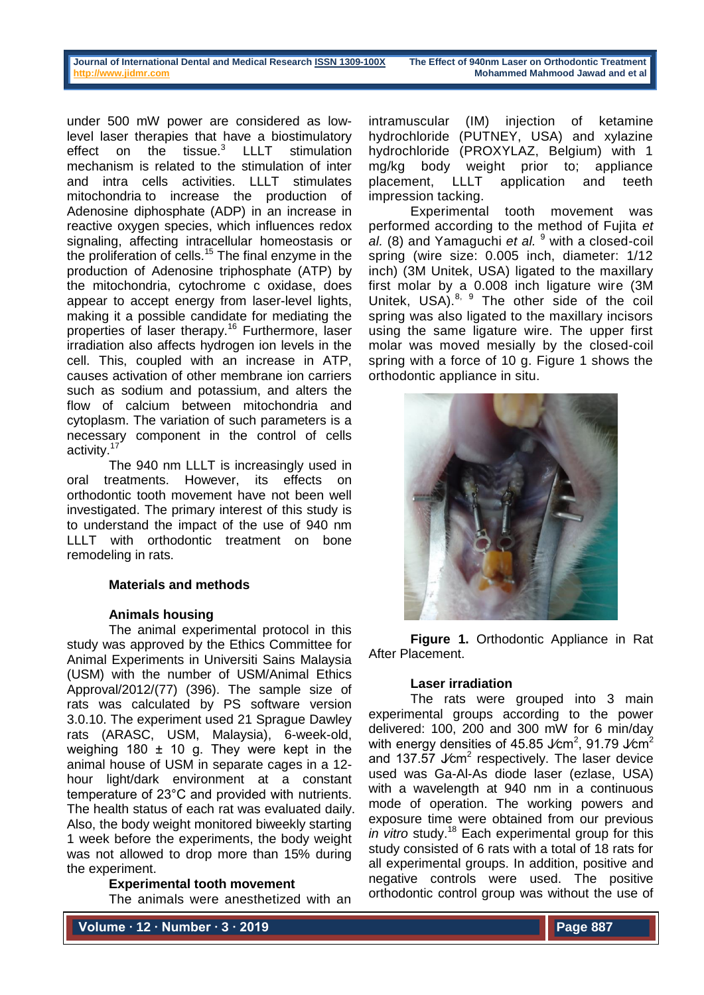| Journal of International Dental and Medical Research ISSN 1309-100X | The Effect of 940nm Laser on Orthodontic Treatment |
|---------------------------------------------------------------------|----------------------------------------------------|
| http://www.jidmr.com                                                | Mohammed Mahmood Jawad and et al                   |

under 500 mW power are considered as lowlevel laser therapies that have a biostimulatory effect on the tissue.<sup>3</sup> LLLT stimulation mechanism is related to the stimulation of inter and intra cells activities. LLLT stimulates mitochondria to increase the production of [Adenosine diphosphate](http://en.wikipedia.org/wiki/Adenosine_triphosphate) (ADP) in an increase in [reactive oxygen species,](http://en.wikipedia.org/wiki/Reactive_oxygen_species) which influences [redox](http://en.wikipedia.org/wiki/Redox) signaling, affecting intracellular [homeostasis](http://en.wikipedia.org/wiki/Homeostasis) or the proliferation of cells.<sup>15</sup> The final enzyme in the production of [Adenosine triphosphate](http://en.wikipedia.org/wiki/Adenosine_triphosphate) (ATP) by the mitochondria, [cytochrome c oxidase,](http://en.wikipedia.org/wiki/Cytochrome_c_oxidase) does appear to accept energy from laser-level lights, making it a possible candidate for mediating the properties of laser therapy.<sup>16</sup> Furthermore, laser irradiation also affects hydrogen ion levels in the cell. This, coupled with an increase in ATP, causes activation of other membrane ion carriers such as sodium and potassium, and alters the flow of calcium between mitochondria and cytoplasm. The variation of such parameters is a necessary component in the control of cells activity.<sup>17</sup>

The 940 nm LLLT is increasingly used in oral treatments. However, its effects on orthodontic tooth movement have not been well investigated. The primary interest of this study is to understand the impact of the use of 940 nm LLLT with orthodontic treatment on bone remodeling in rats.

## **Materials and methods**

#### **Animals housing**

The animal experimental protocol in this study was approved by the Ethics Committee for Animal Experiments in Universiti Sains Malaysia (USM) with the number of USM/Animal Ethics Approval/2012/(77) (396). The sample size of rats was calculated by PS software version 3.0.10. The experiment used 21 Sprague Dawley rats (ARASC, USM, Malaysia), 6-week-old, weighing 180 ± 10 g. They were kept in the animal house of USM in separate cages in a 12 hour light/dark environment at a constant temperature of 23°C and provided with nutrients. The health status of each rat was evaluated daily. Also, the body weight monitored biweekly starting 1 week before the experiments, the body weight was not allowed to drop more than 15% during the experiment.

## **Experimental tooth movement**

The animals were anesthetized with an

intramuscular (IM) injection of ketamine hydrochloride (PUTNEY, USA) and xylazine hydrochloride (PROXYLAZ, Belgium) with 1 mg/kg body weight prior to; appliance placement, LLLT application and teeth impression tacking.

Experimental tooth movement was performed according to the method of Fujita *et al.* (8) and Yamaguchi *et al.* <sup>9</sup> with a closed-coil spring (wire size: 0.005 inch, diameter: 1/12 inch) (3M Unitek, USA) ligated to the maxillary first molar by a 0.008 inch ligature wire (3M Unitek, USA). $8, 9$  The other side of the coil spring was also ligated to the maxillary incisors using the same ligature wire. The upper first molar was moved mesially by the closed-coil spring with a force of 10 g. Figure 1 shows the orthodontic appliance in situ.



**Figure 1.** Orthodontic Appliance in Rat After Placement.

## **Laser irradiation**

The rats were grouped into 3 main experimental groups according to the power delivered: 100, 200 and 300 mW for 6 min/day with energy densities of 45.85 J∕cm<sup>2</sup>, 91.79 J∕cm<sup>2</sup> and 137.57  $\text{J/cm}^2$  respectively. The laser device used was Ga-Al-As diode laser (ezlase, USA) with a wavelength at 940 nm in a continuous mode of operation. The working powers and exposure time were obtained from our previous *in vitro* study.<sup>18</sup> Each experimental group for this study consisted of 6 rats with a total of 18 rats for all experimental groups. In addition, positive and negative controls were used. The positive orthodontic control group was without the use of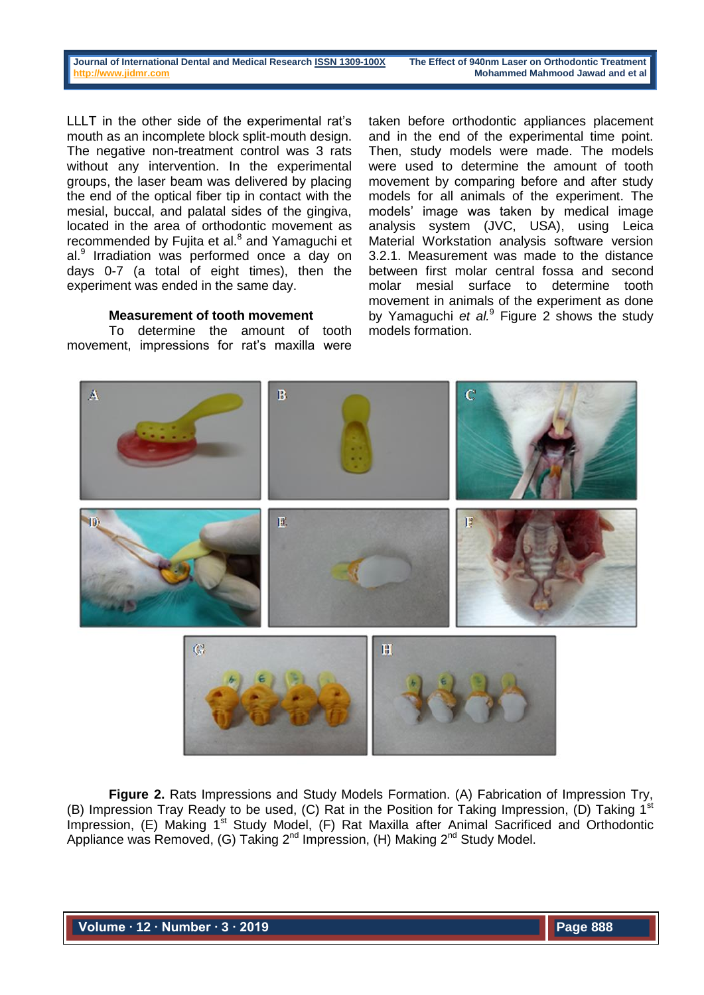LLLT in the other side of the experimental rat's mouth as an incomplete block split-mouth design. The negative non-treatment control was 3 rats without any intervention. In the experimental groups, the laser beam was delivered by placing the end of the optical fiber tip in contact with the mesial, buccal, and palatal sides of the gingiva, located in the area of orthodontic movement as recommended by Fujita et al.<sup>8</sup> and Yamaguchi et al.<sup>9</sup> Irradiation was performed once a day on days 0-7 (a total of eight times), then the experiment was ended in the same day.

### **Measurement of tooth movement**

To determine the amount of tooth movement, impressions for rat's maxilla were

taken before orthodontic appliances placement and in the end of the experimental time point. Then, study models were made. The models were used to determine the amount of tooth movement by comparing before and after study models for all animals of the experiment. The models' image was taken by medical image analysis system (JVC, USA), using Leica Material Workstation analysis software version 3.2.1. Measurement was made to the distance between first molar central fossa and second molar mesial surface to determine tooth movement in animals of the experiment as done by Yamaguchi *et al.*<sup>9</sup> Figure 2 shows the study models formation.



**Figure 2.** Rats Impressions and Study Models Formation. (A) Fabrication of Impression Try, (B) Impression Tray Ready to be used, (C) Rat in the Position for Taking Impression, (D) Taking  $1^s$ Impression, (E) Making 1<sup>st</sup> Study Model, (F) Rat Maxilla after Animal Sacrificed and Orthodontic Appliance was Removed, (G) Taking 2<sup>nd</sup> Impression, (H) Making 2<sup>nd</sup> Study Model.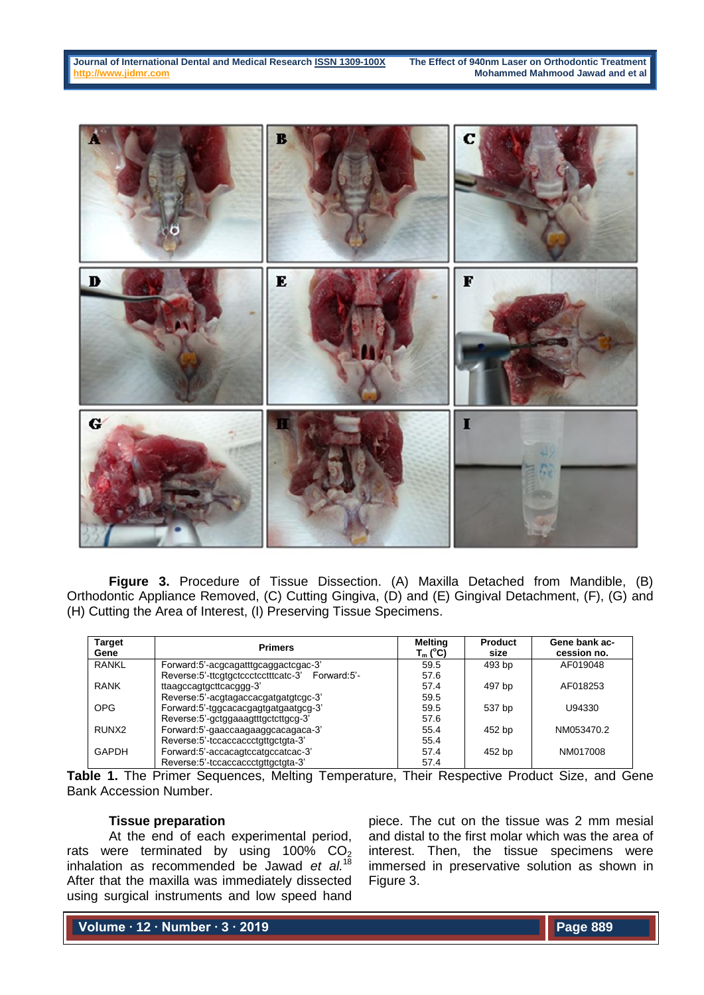

**Figure 3.** Procedure of Tissue Dissection. (A) Maxilla Detached from Mandible, (B) Orthodontic Appliance Removed, (C) Cutting Gingiva, (D) and (E) Gingival Detachment, (F), (G) and (H) Cutting the Area of Interest, (I) Preserving Tissue Specimens.

| <b>Target</b><br>Gene | <b>Primers</b>                                  | <b>Melting</b><br>T <sub>m</sub> (°C) | <b>Product</b><br>size | Gene bank ac-<br>cession no. |
|-----------------------|-------------------------------------------------|---------------------------------------|------------------------|------------------------------|
| <b>RANKL</b>          | Forward:5'-acgcagatttgcaggactcgac-3'            | 59.5                                  | 493 bp                 | AF019048                     |
|                       | Reverse:5'-ttcgtgctccctcctttcatc-3' Forward:5'- | 57.6                                  |                        |                              |
| <b>RANK</b>           | ttaagccagtgcttcacggg-3'                         | 57.4                                  | 497 bp                 | AF018253                     |
|                       | Reverse:5'-acgtagaccacgatgatgtcgc-3'            | 59.5                                  |                        |                              |
| <b>OPG</b>            | Forward:5'-tggcacacgagtgatgaatgcg-3'            | 59.5                                  | 537 bp                 | U94330                       |
|                       | Reverse:5'-gctggaaagtttgctcttgcg-3'             | 57.6                                  |                        |                              |
| RUNX <sub>2</sub>     | Forward:5'-gaaccaagaaggcacagaca-3'              | 55.4                                  | 452 bp                 | NM053470.2                   |
|                       | Reverse: 5'-tccaccaccctqttqctqta-3'             | 55.4                                  |                        |                              |
| <b>GAPDH</b>          | Forward:5'-accacagtccatgccatcac-3'              | 57.4                                  | 452 bp                 | NM017008                     |
|                       | Reverse: 5'-tccaccaccctqttqctqta-3'             | 57.4                                  |                        |                              |

**Table 1.** The Primer Sequences, Melting Temperature, Their Respective Product Size, and Gene Bank Accession Number.

## **Tissue preparation**

At the end of each experimental period, rats were terminated by using  $100\%$  CO<sub>2</sub> inhalation as recommended be Jawad *et al.*<sup>18</sup> After that the maxilla was immediately dissected using surgical instruments and low speed hand

piece. The cut on the tissue was 2 mm mesial and distal to the first molar which was the area of interest. Then, the tissue specimens were immersed in preservative solution as shown in Figure 3.

**Volume ∙ 12 ∙ Number ∙ 3 ∙ 2019**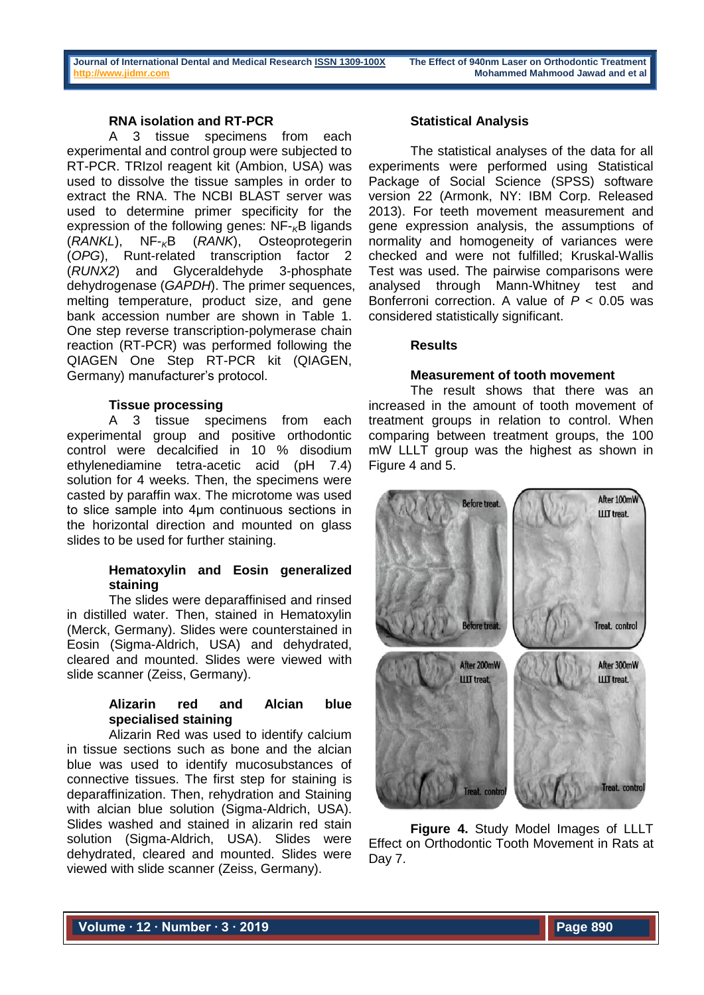## **RNA isolation and RT-PCR**

A 3 tissue specimens from each experimental and control group were subjected to RT-PCR. TRIzol reagent kit (Ambion, USA) was used to dissolve the tissue samples in order to extract the RNA. The NCBI BLAST server was used to determine primer specificity for the expression of the following genes: NF-<sub>K</sub>B ligands<br>(RANKL). NF-<sub>K</sub>B (RANK). Osteoprotegerin (*RANKL*), NF-*K*B (*RANK*), Osteoprotegerin (*OPG*), Runt-related transcription factor 2 (*RUNX2*) and Glyceraldehyde 3-phosphate dehydrogenase (*GAPDH*). The primer sequences, melting temperature, product size, and gene bank accession number are shown in Table 1. One step reverse transcription-polymerase chain reaction (RT-PCR) was performed following the QIAGEN One Step RT-PCR kit (QIAGEN, Germany) manufacturer's protocol.

## **Tissue processing**

A 3 tissue specimens from each experimental group and positive orthodontic control were decalcified in 10 % disodium ethylenediamine tetra-acetic acid (pH 7.4) solution for 4 weeks. Then, the specimens were casted by paraffin wax. The microtome was used to slice sample into 4µm continuous sections in the horizontal direction and mounted on glass slides to be used for further staining.

# **Hematoxylin and Eosin generalized staining**

The slides were deparaffinised and rinsed in distilled water. Then, stained in Hematoxylin (Merck, Germany). Slides were counterstained in Eosin (Sigma-Aldrich, USA) and dehydrated, cleared and mounted. Slides were viewed with slide scanner (Zeiss, Germany).

## **Alizarin red and Alcian blue specialised staining**

Alizarin Red was used to identify calcium in tissue sections such as bone and the alcian blue was used to identify mucosubstances of connective tissues. The first step for staining is deparaffinization. Then, rehydration and Staining with alcian blue solution (Sigma-Aldrich, USA). Slides washed and stained in alizarin red stain solution (Sigma-Aldrich, USA). Slides were dehydrated, cleared and mounted. Slides were viewed with slide scanner (Zeiss, Germany).

## **Statistical Analysis**

The statistical analyses of the data for all experiments were performed using Statistical Package of Social Science (SPSS) software version 22 (Armonk, NY: IBM Corp. Released 2013). For teeth movement measurement and gene expression analysis, the assumptions of normality and homogeneity of variances were checked and were not fulfilled; Kruskal-Wallis Test was used. The pairwise comparisons were analysed through Mann-Whitney test and Bonferroni correction. A value of *P* < 0.05 was considered statistically significant.

## **Results**

### **Measurement of tooth movement**

The result shows that there was an increased in the amount of tooth movement of treatment groups in relation to control. When comparing between treatment groups, the 100 mW LLLT group was the highest as shown in Figure 4 and 5.



**Figure 4.** Study Model Images of LLLT Effect on Orthodontic Tooth Movement in Rats at Day 7.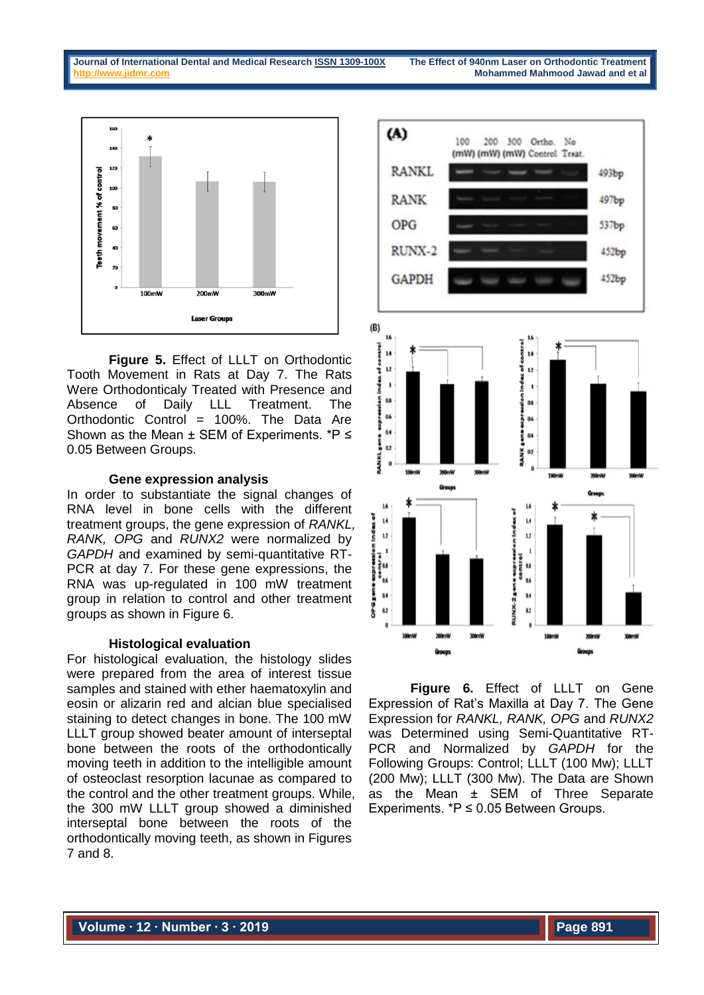

**Figure 5.** Effect of LLLT on Orthodontic Tooth Movement in Rats at Day 7. The Rats Were Orthodonticaly Treated with Presence and Absence of Daily LLL Treatment. The Orthodontic Control = 100%. The Data Are Shown as the Mean ± SEM of Experiments. \*P ≤ 0.05 Between Groups.

### **Gene expression analysis**

In order to substantiate the signal changes of RNA level in bone cells with the different treatment groups, the gene expression of *RANKL, RANK, OPG* and *RUNX2* were normalized by *GAPDH* and examined by semi-quantitative RT-PCR at day 7. For these gene expressions, the RNA was up-regulated in 100 mW treatment group in relation to control and other treatment groups as shown in Figure 6.

## **Histological evaluation**

For histological evaluation, the histology slides were prepared from the area of interest tissue samples and stained with ether haematoxylin and eosin or alizarin red and alcian blue specialised staining to detect changes in bone. The 100 mW LLLT group showed beater amount of interseptal bone between the roots of the orthodontically moving teeth in addition to the intelligible amount of osteoclast resorption lacunae as compared to the control and the other treatment groups. While, the 300 mW LLLT group showed a diminished interseptal bone between the roots of the orthodontically moving teeth, as shown in Figures 7 and 8.



**Figure 6.** Effect of LLLT on Gene Expression of Rat's Maxilla at Day 7. The Gene Expression for *RANKL, RANK, OPG* and *RUNX2* was Determined using Semi-Quantitative RT-PCR and Normalized by *GAPDH* for the Following Groups: Control; LLLT (100 Mw); LLLT (200 Mw); LLLT (300 Mw). The Data are Shown as the Mean ± SEM of Three Separate Experiments. \*P ≤ 0.05 Between Groups.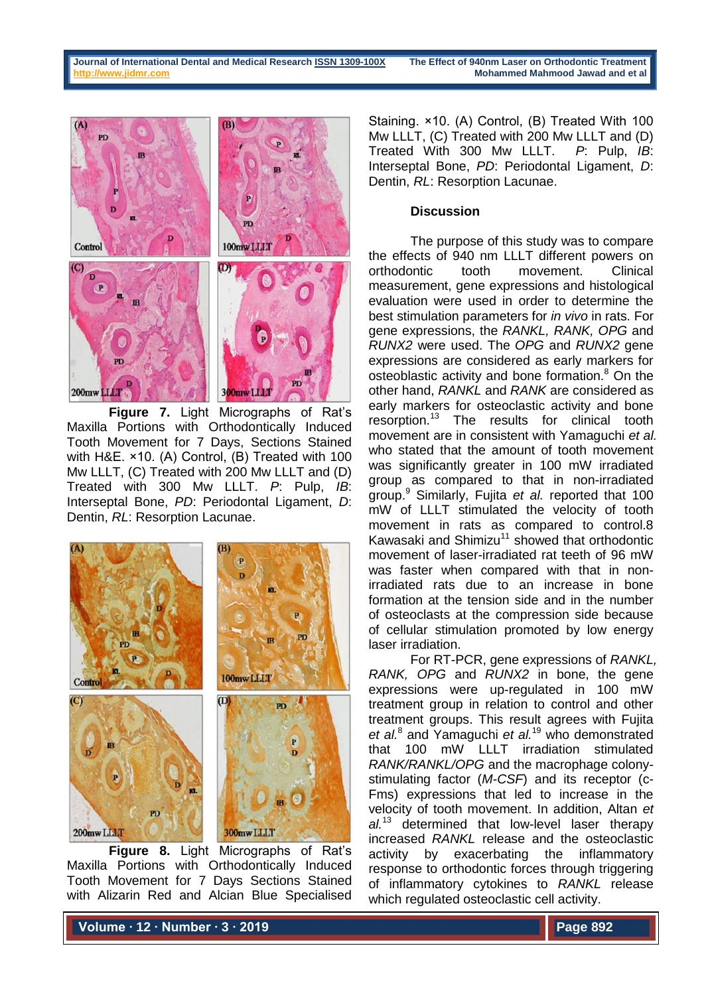

**Figure 7.** Light Micrographs of Rat's Maxilla Portions with Orthodontically Induced Tooth Movement for 7 Days, Sections Stained with H&E. ×10. (A) Control, (B) Treated with 100 Mw LLLT, (C) Treated with 200 Mw LLLT and (D) Treated with 300 Mw LLLT. *P*: Pulp, *IB*: Interseptal Bone, *PD*: Periodontal Ligament, *D*: Dentin, *RL*: Resorption Lacunae.



**Figure 8.** Light Micrographs of Rat's Maxilla Portions with Orthodontically Induced Tooth Movement for 7 Days Sections Stained with Alizarin Red and Alcian Blue Specialised

Staining. ×10. (A) Control, (B) Treated With 100 Mw LLLT, (C) Treated with 200 Mw LLLT and (D) Treated With 300 Mw LLLT. *P*: Pulp, *IB*: Interseptal Bone, *PD*: Periodontal Ligament, *D*: Dentin, *RL*: Resorption Lacunae.

## **Discussion**

The purpose of this study was to compare the effects of 940 nm LLLT different powers on orthodontic tooth movement. Clinical measurement, gene expressions and histological evaluation were used in order to determine the best stimulation parameters for *in vivo* in rats. For gene expressions, the *RANKL, RANK, OPG* and *RUNX2* were used. The *OPG* and *RUNX2* gene expressions are considered as early markers for osteoblastic activity and bone formation.<sup>8</sup> On the other hand, *RANKL* and *RANK* are considered as early markers for osteoclastic activity and bone resorption.<sup>13</sup> The results for clinical tooth movement are in consistent with Yamaguchi *et al.* who stated that the amount of tooth movement was significantly greater in 100 mW irradiated group as compared to that in non-irradiated group.<sup>9</sup> Similarly, Fujita *et al.* reported that 100 mW of LLLT stimulated the velocity of tooth movement in rats as compared to control.8 Kawasaki and Shimizu<sup>11</sup> showed that orthodontic movement of laser-irradiated rat teeth of 96 mW was faster when compared with that in nonirradiated rats due to an increase in bone formation at the tension side and in the number of osteoclasts at the compression side because of cellular stimulation promoted by low energy laser irradiation.

For RT-PCR, gene expressions of *RANKL, RANK, OPG* and *RUNX2* in bone, the gene expressions were up-regulated in 100 mW treatment group in relation to control and other treatment groups. This result agrees with Fujita *et al.*<sup>8</sup> and Yamaguchi *et al.*<sup>19</sup> who demonstrated that 100 mW LLLT irradiation stimulated *RANK/RANKL/OPG* and the macrophage colonystimulating factor (*M-CSF*) and its receptor (c-Fms) expressions that led to increase in the velocity of tooth movement. In addition, Altan *et al.*<sup>13</sup> determined that low-level laser therapy increased *RANKL* release and the osteoclastic activity by exacerbating the inflammatory response to orthodontic forces through triggering of inflammatory cytokines to *RANKL* release which regulated osteoclastic cell activity.

**Volume ∙ 12 ∙ Number ∙ 3 ∙ 2019**